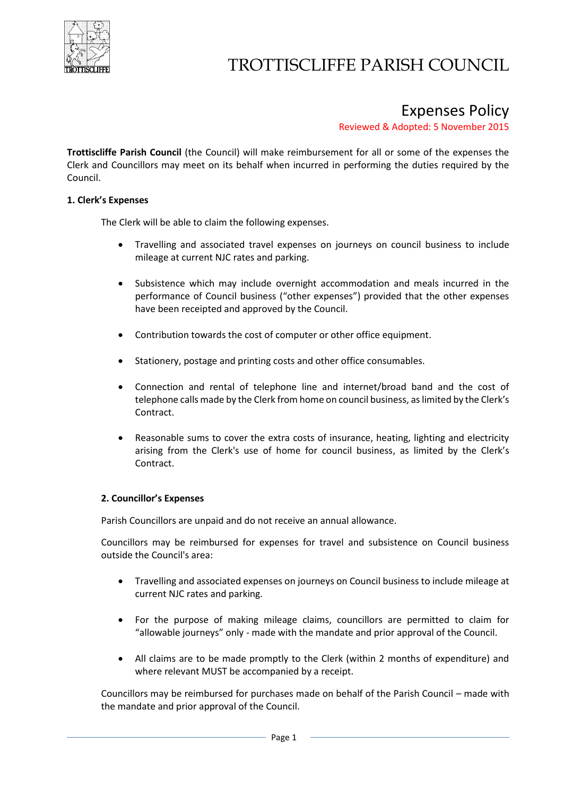

## TROTTISCLIFFE PARISH COUNCIL

### Expenses Policy

Reviewed & Adopted: 5 November 2015

**Trottiscliffe Parish Council** (the Council) will make reimbursement for all or some of the expenses the Clerk and Councillors may meet on its behalf when incurred in performing the duties required by the Council.

#### **1. Clerk's Expenses**

The Clerk will be able to claim the following expenses.

- Travelling and associated travel expenses on journeys on council business to include mileage at current NJC rates and parking.
- Subsistence which may include overnight accommodation and meals incurred in the performance of Council business ("other expenses") provided that the other expenses have been receipted and approved by the Council.
- Contribution towards the cost of computer or other office equipment.
- Stationery, postage and printing costs and other office consumables.
- Connection and rental of telephone line and internet/broad band and the cost of telephone calls made by the Clerk from home on council business, as limited by the Clerk's Contract.
- Reasonable sums to cover the extra costs of insurance, heating, lighting and electricity arising from the Clerk's use of home for council business, as limited by the Clerk's Contract.

#### **2. Councillor's Expenses**

Parish Councillors are unpaid and do not receive an annual allowance.

Councillors may be reimbursed for expenses for travel and subsistence on Council business outside the Council's area:

- Travelling and associated expenses on journeys on Council business to include mileage at current NJC rates and parking.
- For the purpose of making mileage claims, councillors are permitted to claim for "allowable journeys" only - made with the mandate and prior approval of the Council.
- All claims are to be made promptly to the Clerk (within 2 months of expenditure) and where relevant MUST be accompanied by a receipt.

Councillors may be reimbursed for purchases made on behalf of the Parish Council – made with the mandate and prior approval of the Council.